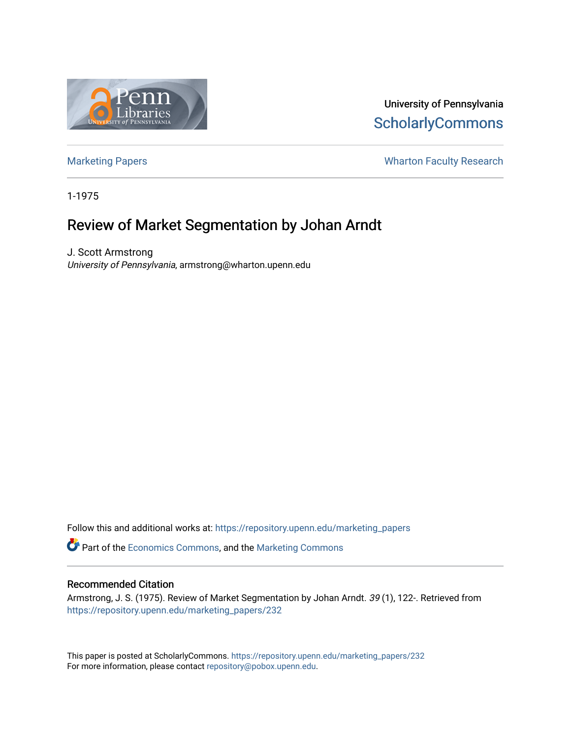

University of Pennsylvania **ScholarlyCommons** 

[Marketing Papers](https://repository.upenn.edu/marketing_papers) **Marketing Papers Marketing Papers Wharton Faculty Research** 

1-1975

# Review of Market Segmentation by Johan Arndt

J. Scott Armstrong University of Pennsylvania, armstrong@wharton.upenn.edu

Follow this and additional works at: [https://repository.upenn.edu/marketing\\_papers](https://repository.upenn.edu/marketing_papers?utm_source=repository.upenn.edu%2Fmarketing_papers%2F232&utm_medium=PDF&utm_campaign=PDFCoverPages)

**P** Part of the [Economics Commons](http://network.bepress.com/hgg/discipline/340?utm_source=repository.upenn.edu%2Fmarketing_papers%2F232&utm_medium=PDF&utm_campaign=PDFCoverPages), and the [Marketing Commons](http://network.bepress.com/hgg/discipline/638?utm_source=repository.upenn.edu%2Fmarketing_papers%2F232&utm_medium=PDF&utm_campaign=PDFCoverPages)

#### Recommended Citation

Armstrong, J. S. (1975). Review of Market Segmentation by Johan Arndt. 39 (1), 122-. Retrieved from [https://repository.upenn.edu/marketing\\_papers/232](https://repository.upenn.edu/marketing_papers/232?utm_source=repository.upenn.edu%2Fmarketing_papers%2F232&utm_medium=PDF&utm_campaign=PDFCoverPages)

This paper is posted at ScholarlyCommons. [https://repository.upenn.edu/marketing\\_papers/232](https://repository.upenn.edu/marketing_papers/232)  For more information, please contact [repository@pobox.upenn.edu.](mailto:repository@pobox.upenn.edu)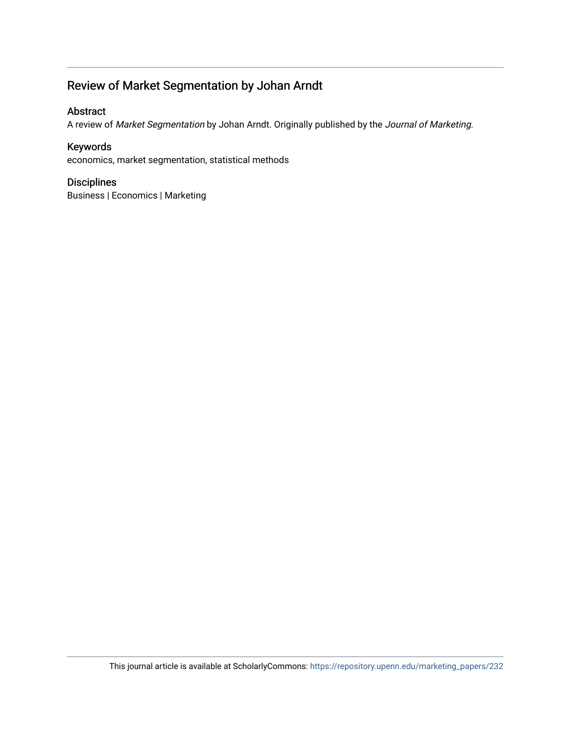## Review of Market Segmentation by Johan Arndt

## Abstract

A review of Market Segmentation by Johan Arndt. Originally published by the Journal of Marketing.

### Keywords

economics, market segmentation, statistical methods

### Disciplines

Business | Economics | Marketing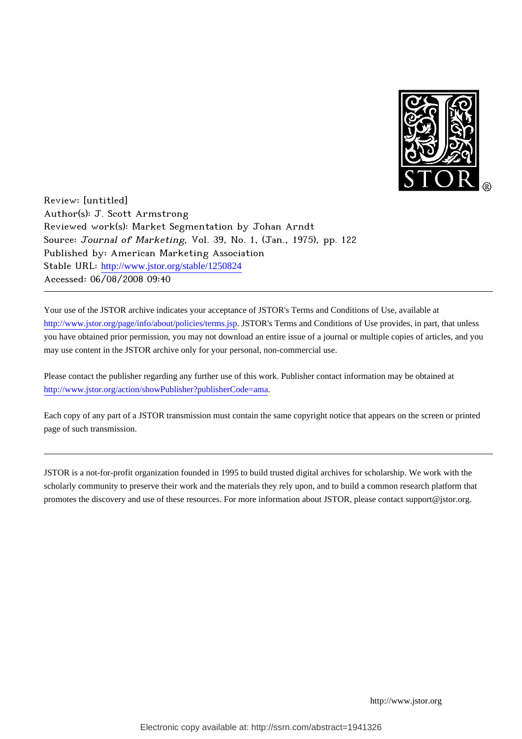

Review: [untitled] Author(s): J. Scott Armstrong Reviewed work(s): Market Segmentation by Johan Arndt Source: Journal of Marketing, Vol. 39, No. 1, (Jan., 1975), pp. 122 Published by: American Marketing Association Stable URL: [http://www.jstor.org/stable/1250824](http://www.jstor.org/stable/1250824?origin=JSTOR-pdf) Accessed: 06/08/2008 09:40

Your use of the JSTOR archive indicates your acceptance of JSTOR's Terms and Conditions of Use, available at <http://www.jstor.org/page/info/about/policies/terms.jsp>. JSTOR's Terms and Conditions of Use provides, in part, that unless you have obtained prior permission, you may not download an entire issue of a journal or multiple copies of articles, and you may use content in the JSTOR archive only for your personal, non-commercial use.

Please contact the publisher regarding any further use of this work. Publisher contact information may be obtained at [http://www.jstor.org/action/showPublisher?publisherCode=ama.](http://www.jstor.org/action/showPublisher?publisherCode=ama)

Each copy of any part of a JSTOR transmission must contain the same copyright notice that appears on the screen or printed page of such transmission.

JSTOR is a not-for-profit organization founded in 1995 to build trusted digital archives for scholarship. We work with the scholarly community to preserve their work and the materials they rely upon, and to build a common research platform that promotes the discovery and use of these resources. For more information about JSTOR, please contact support@jstor.org.